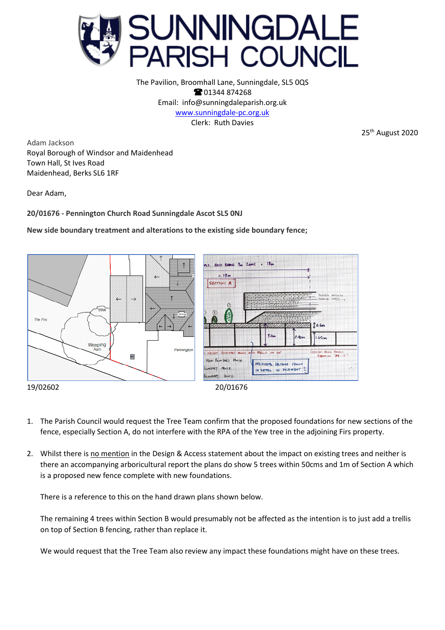

The Pavilion, Broomhall Lane, Sunningdale, SL5 0QS **8**01344 874268 Email: info@sunningdaleparish.org.uk [www.sunningdale-pc.org.uk](http://www.sunningdale-pc.org.uk/) Clerk: Ruth Davies

25<sup>th</sup> August 2020

Adam Jackson Royal Borough of Windsor and Maidenhead Town Hall, St Ives Road Maidenhead, Berks SL6 1RF

Dear Adam,

**20/01676 - Pennington Church Road Sunningdale Ascot SL5 0NJ**

**New side boundary treatment and alterations to the existing side boundary fence;**



- 
- 1. The Parish Council would request the Tree Team confirm that the proposed foundations for new sections of the fence, especially Section A, do not interfere with the RPA of the Yew tree in the adjoining Firs property.
- 2. Whilst there is no mention in the Design & Access statement about the impact on existing trees and neither is there an accompanying arboricultural report the plans do show 5 trees within 50cms and 1m of Section A which is a proposed new fence complete with new foundations.

There is a reference to this on the hand drawn plans shown below.

The remaining 4 trees within Section B would presumably not be affected as the intention is to just add a trellis on top of Section B fencing, rather than replace it.

We would request that the Tree Team also review any impact these foundations might have on these trees.